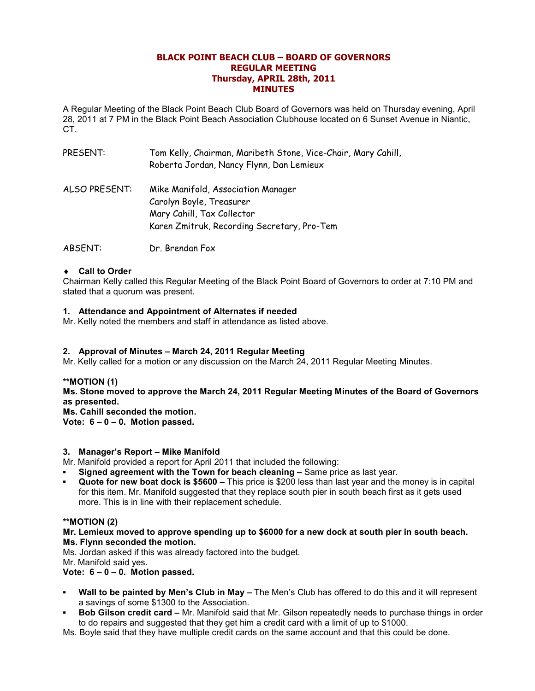# **BLACK POINT BEACH CLUB – BOARD OF GOVERNORS REGULAR MEETING Thursday, APRIL 28th, 2011 MINUTES**

A Regular Meeting of the Black Point Beach Club Board of Governors was held on Thursday evening, April 28, 2011 at 7 PM in the Black Point Beach Association Clubhouse located on 6 Sunset Avenue in Niantic, CT.

| PRESENT:      | Tom Kelly, Chairman, Maribeth Stone, Vice-Chair, Mary Cahill,<br>Roberta Jordan, Nancy Flynn, Dan Lemieux                                   |
|---------------|---------------------------------------------------------------------------------------------------------------------------------------------|
| ALSO PRESENT: | Mike Manifold, Association Manager<br>Carolyn Boyle, Treasurer<br>Mary Cahill, Tax Collector<br>Karen Zmitruk, Recording Secretary, Pro-Tem |

ABSENT: Dr. Brendan Fox

# ♦ **Call to Order**

Chairman Kelly called this Regular Meeting of the Black Point Board of Governors to order at 7:10 PM and stated that a quorum was present.

# **1. Attendance and Appointment of Alternates if needed**

Mr. Kelly noted the members and staff in attendance as listed above.

#### **2. Approval of Minutes – March 24, 2011 Regular Meeting**

Mr. Kelly called for a motion or any discussion on the March 24, 2011 Regular Meeting Minutes.

#### **\*\*MOTION (1)**

**Ms. Stone moved to approve the March 24, 2011 Regular Meeting Minutes of the Board of Governors as presented.** 

**Ms. Cahill seconded the motion. Vote: 6 – 0 – 0. Motion passed.** 

#### **3. Manager's Report – Mike Manifold**

Mr. Manifold provided a report for April 2011 that included the following:

- **Signed agreement with the Town for beach cleaning –** Same price as last year.
- **Quote for new boat dock is \$5600 –** This price is \$200 less than last year and the money is in capital for this item. Mr. Manifold suggested that they replace south pier in south beach first as it gets used more. This is in line with their replacement schedule.

#### **\*\*MOTION (2)**

**Mr. Lemieux moved to approve spending up to \$6000 for a new dock at south pier in south beach. Ms. Flynn seconded the motion.** 

Ms. Jordan asked if this was already factored into the budget.

Mr. Manifold said yes.

**Vote: 6 – 0 – 0. Motion passed.** 

- **Wall to be painted by Men's Club in May –** The Men's Club has offered to do this and it will represent a savings of some \$1300 to the Association.
- **Bob Gilson credit card Mr. Manifold said that Mr. Gilson repeatedly needs to purchase things in order** to do repairs and suggested that they get him a credit card with a limit of up to \$1000.

Ms. Boyle said that they have multiple credit cards on the same account and that this could be done.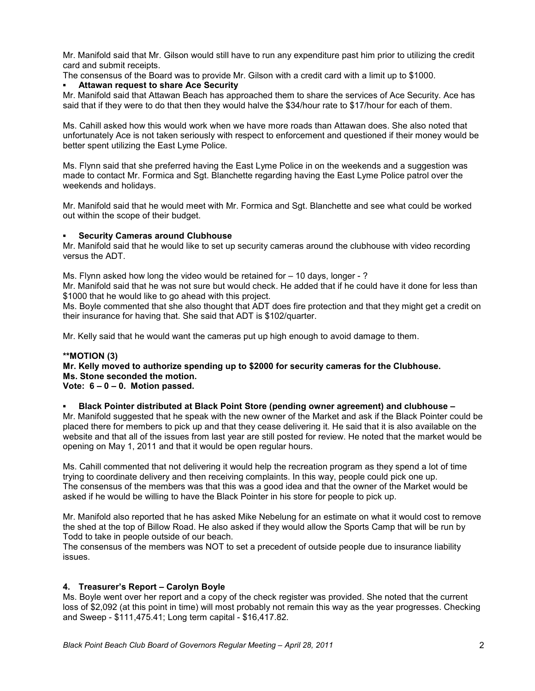Mr. Manifold said that Mr. Gilson would still have to run any expenditure past him prior to utilizing the credit card and submit receipts.

The consensus of the Board was to provide Mr. Gilson with a credit card with a limit up to \$1000.

### **Attawan request to share Ace Security**

Mr. Manifold said that Attawan Beach has approached them to share the services of Ace Security. Ace has said that if they were to do that then they would halve the \$34/hour rate to \$17/hour for each of them.

Ms. Cahill asked how this would work when we have more roads than Attawan does. She also noted that unfortunately Ace is not taken seriously with respect to enforcement and questioned if their money would be better spent utilizing the East Lyme Police.

Ms. Flynn said that she preferred having the East Lyme Police in on the weekends and a suggestion was made to contact Mr. Formica and Sgt. Blanchette regarding having the East Lyme Police patrol over the weekends and holidays.

Mr. Manifold said that he would meet with Mr. Formica and Sgt. Blanchette and see what could be worked out within the scope of their budget.

# **Security Cameras around Clubhouse**

Mr. Manifold said that he would like to set up security cameras around the clubhouse with video recording versus the ADT.

Ms. Flynn asked how long the video would be retained for  $-10$  days, longer - ?

Mr. Manifold said that he was not sure but would check. He added that if he could have it done for less than \$1000 that he would like to go ahead with this project.

Ms. Boyle commented that she also thought that ADT does fire protection and that they might get a credit on their insurance for having that. She said that ADT is \$102/quarter.

Mr. Kelly said that he would want the cameras put up high enough to avoid damage to them.

# **\*\*MOTION (3)**

# **Mr. Kelly moved to authorize spending up to \$2000 for security cameras for the Clubhouse. Ms. Stone seconded the motion.**

# **Vote: 6 – 0 – 0. Motion passed.**

#### ▪ **Black Pointer distributed at Black Point Store (pending owner agreement) and clubhouse –**

Mr. Manifold suggested that he speak with the new owner of the Market and ask if the Black Pointer could be placed there for members to pick up and that they cease delivering it. He said that it is also available on the website and that all of the issues from last year are still posted for review. He noted that the market would be opening on May 1, 2011 and that it would be open regular hours.

Ms. Cahill commented that not delivering it would help the recreation program as they spend a lot of time trying to coordinate delivery and then receiving complaints. In this way, people could pick one up. The consensus of the members was that this was a good idea and that the owner of the Market would be asked if he would be willing to have the Black Pointer in his store for people to pick up.

Mr. Manifold also reported that he has asked Mike Nebelung for an estimate on what it would cost to remove the shed at the top of Billow Road. He also asked if they would allow the Sports Camp that will be run by Todd to take in people outside of our beach.

The consensus of the members was NOT to set a precedent of outside people due to insurance liability issues.

# **4. Treasurer's Report – Carolyn Boyle**

Ms. Boyle went over her report and a copy of the check register was provided. She noted that the current loss of \$2,092 (at this point in time) will most probably not remain this way as the year progresses. Checking and Sweep - \$111,475.41; Long term capital - \$16,417.82.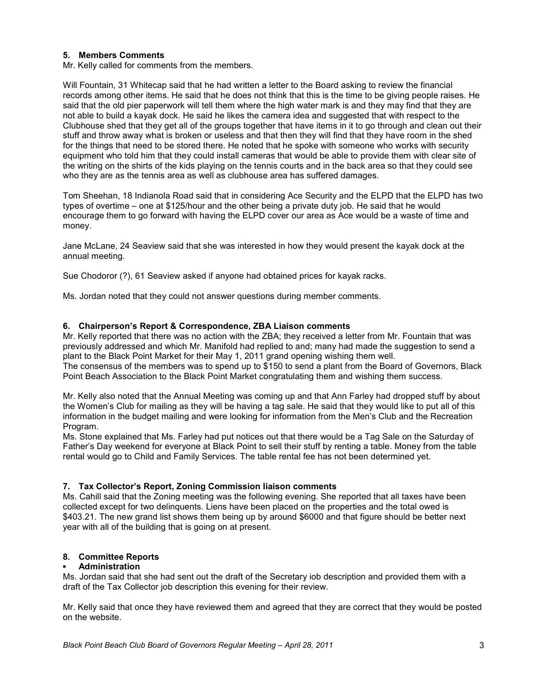# **5. Members Comments**

Mr. Kelly called for comments from the members.

Will Fountain, 31 Whitecap said that he had written a letter to the Board asking to review the financial records among other items. He said that he does not think that this is the time to be giving people raises. He said that the old pier paperwork will tell them where the high water mark is and they may find that they are not able to build a kayak dock. He said he likes the camera idea and suggested that with respect to the Clubhouse shed that they get all of the groups together that have items in it to go through and clean out their stuff and throw away what is broken or useless and that then they will find that they have room in the shed for the things that need to be stored there. He noted that he spoke with someone who works with security equipment who told him that they could install cameras that would be able to provide them with clear site of the writing on the shirts of the kids playing on the tennis courts and in the back area so that they could see who they are as the tennis area as well as clubhouse area has suffered damages.

Tom Sheehan, 18 Indianola Road said that in considering Ace Security and the ELPD that the ELPD has two types of overtime – one at \$125/hour and the other being a private duty job. He said that he would encourage them to go forward with having the ELPD cover our area as Ace would be a waste of time and money.

Jane McLane, 24 Seaview said that she was interested in how they would present the kayak dock at the annual meeting.

Sue Chodoror (?), 61 Seaview asked if anyone had obtained prices for kayak racks.

Ms. Jordan noted that they could not answer questions during member comments.

# **6. Chairperson's Report & Correspondence, ZBA Liaison comments**

Mr. Kelly reported that there was no action with the ZBA; they received a letter from Mr. Fountain that was previously addressed and which Mr. Manifold had replied to and; many had made the suggestion to send a plant to the Black Point Market for their May 1, 2011 grand opening wishing them well. The consensus of the members was to spend up to \$150 to send a plant from the Board of Governors, Black Point Beach Association to the Black Point Market congratulating them and wishing them success.

Mr. Kelly also noted that the Annual Meeting was coming up and that Ann Farley had dropped stuff by about the Women's Club for mailing as they will be having a tag sale. He said that they would like to put all of this information in the budget mailing and were looking for information from the Men's Club and the Recreation Program.

Ms. Stone explained that Ms. Farley had put notices out that there would be a Tag Sale on the Saturday of Father's Day weekend for everyone at Black Point to sell their stuff by renting a table. Money from the table rental would go to Child and Family Services. The table rental fee has not been determined yet.

#### **7. Tax Collector's Report, Zoning Commission liaison comments**

Ms. Cahill said that the Zoning meeting was the following evening. She reported that all taxes have been collected except for two delinquents. Liens have been placed on the properties and the total owed is \$403.21. The new grand list shows them being up by around \$6000 and that figure should be better next year with all of the building that is going on at present.

# **8. Committee Reports**

#### **Administration**

Ms. Jordan said that she had sent out the draft of the Secretary iob description and provided them with a draft of the Tax Collector job description this evening for their review.

Mr. Kelly said that once they have reviewed them and agreed that they are correct that they would be posted on the website.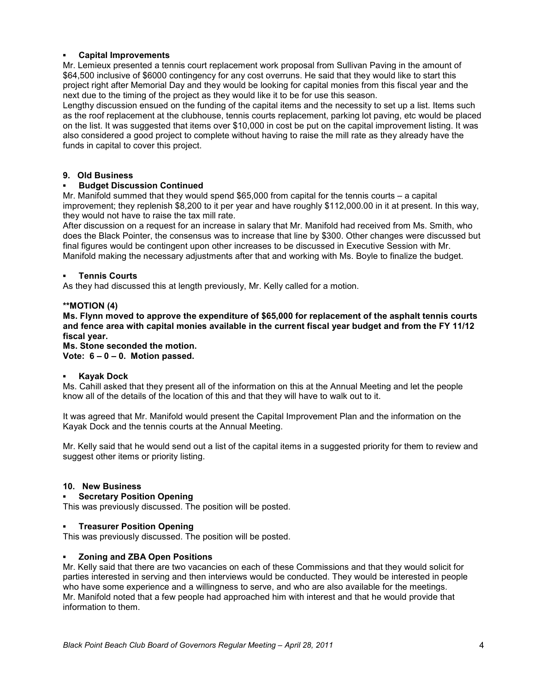# **Capital Improvements**

Mr. Lemieux presented a tennis court replacement work proposal from Sullivan Paving in the amount of \$64,500 inclusive of \$6000 contingency for any cost overruns. He said that they would like to start this project right after Memorial Day and they would be looking for capital monies from this fiscal year and the next due to the timing of the project as they would like it to be for use this season.

Lengthy discussion ensued on the funding of the capital items and the necessity to set up a list. Items such as the roof replacement at the clubhouse, tennis courts replacement, parking lot paving, etc would be placed on the list. It was suggested that items over \$10,000 in cost be put on the capital improvement listing. It was also considered a good project to complete without having to raise the mill rate as they already have the funds in capital to cover this project.

# **9. Old Business**

# **Budget Discussion Continued**

Mr. Manifold summed that they would spend \$65,000 from capital for the tennis courts – a capital improvement; they replenish \$8,200 to it per year and have roughly \$112,000.00 in it at present. In this way, they would not have to raise the tax mill rate.

After discussion on a request for an increase in salary that Mr. Manifold had received from Ms. Smith, who does the Black Pointer, the consensus was to increase that line by \$300. Other changes were discussed but final figures would be contingent upon other increases to be discussed in Executive Session with Mr. Manifold making the necessary adjustments after that and working with Ms. Boyle to finalize the budget.

# **Tennis Courts**

As they had discussed this at length previously, Mr. Kelly called for a motion.

#### **\*\*MOTION (4)**

**Ms. Flynn moved to approve the expenditure of \$65,000 for replacement of the asphalt tennis courts and fence area with capital monies available in the current fiscal year budget and from the FY 11/12 fiscal year.** 

**Ms. Stone seconded the motion.** 

**Vote: 6 – 0 – 0. Motion passed.** 

# **Kayak Dock**

Ms. Cahill asked that they present all of the information on this at the Annual Meeting and let the people know all of the details of the location of this and that they will have to walk out to it.

It was agreed that Mr. Manifold would present the Capital Improvement Plan and the information on the Kayak Dock and the tennis courts at the Annual Meeting.

Mr. Kelly said that he would send out a list of the capital items in a suggested priority for them to review and suggest other items or priority listing.

#### **10. New Business**

#### **Secretary Position Opening**

This was previously discussed. The position will be posted.

#### **Treasurer Position Opening**

This was previously discussed. The position will be posted.

#### **Zoning and ZBA Open Positions**

Mr. Kelly said that there are two vacancies on each of these Commissions and that they would solicit for parties interested in serving and then interviews would be conducted. They would be interested in people who have some experience and a willingness to serve, and who are also available for the meetings. Mr. Manifold noted that a few people had approached him with interest and that he would provide that information to them.